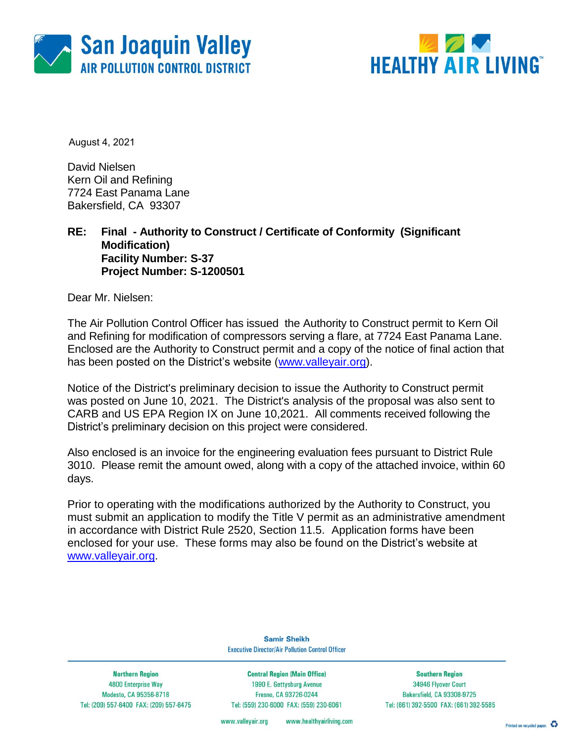



August 4, 2021

David Nielsen Kern Oil and Refining 7724 East Panama Lane Bakersfield, CA 93307

## **RE: Final - Authority to Construct / Certificate of Conformity (Significant Modification) Facility Number: S-37 Project Number: S-1200501**

Dear Mr. Nielsen:

The Air Pollution Control Officer has issued the Authority to Construct permit to Kern Oil and Refining for modification of compressors serving a flare, at 7724 East Panama Lane. Enclosed are the Authority to Construct permit and a copy of the notice of final action that has been posted on the District's website [\(www.valleyair.org\)](http://www.valleyair.org/).

Notice of the District's preliminary decision to issue the Authority to Construct permit was posted on June 10, 2021. The District's analysis of the proposal was also sent to CARB and US EPA Region IX on June 10,2021. All comments received following the District's preliminary decision on this project were considered.

Also enclosed is an invoice for the engineering evaluation fees pursuant to District Rule 3010. Please remit the amount owed, along with a copy of the attached invoice, within 60 days.

Prior to operating with the modifications authorized by the Authority to Construct, you must submit an application to modify the Title V permit as an administrative amendment in accordance with District Rule 2520, Section 11.5. Application forms have been enclosed for your use. These forms may also be found on the District's website at [www.valleyair.org.](http://www.valleyair.org/)

> **Samir Sheikh Executive Director/Air Pollution Control Officer**

**Northern Region** 4800 Enterprise Way Modesto, CA 95356-8718 Tel: (209) 557-6400 FAX: (209) 557-6475

**Central Region (Main Office)** 1990 E. Gettysburg Avenue Fresno, CA 93726-0244 Tel: (559) 230-6000 FAX: (559) 230-6061

**Southern Region** 34946 Flyover Court Bakersfield, CA 93308-9725 Tel: (661) 392-5500 FAX: (661) 392-5585

www.healthyairliving.com www.valleyair.org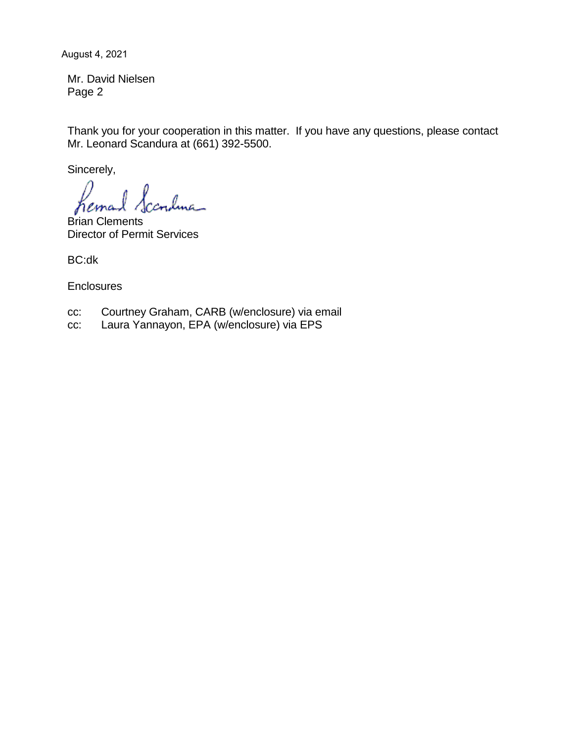August 4, 2021

Mr. David Nielsen Page 2

Thank you for your cooperation in this matter. If you have any questions, please contact Mr. Leonard Scandura at (661) 392-5500.

Sincerely,

rndma hema

Brian Clements Director of Permit Services

BC:dk

**Enclosures** 

- cc: Courtney Graham, CARB (w/enclosure) via email
- cc: Laura Yannayon, EPA (w/enclosure) via EPS